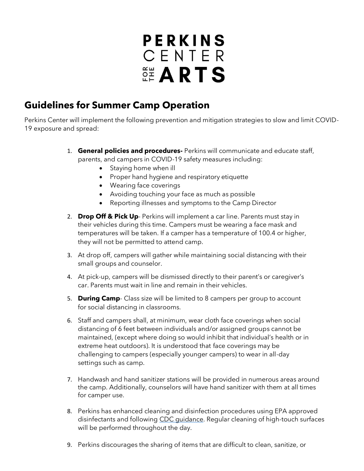## **PERKINS** CENTER **ELARTS**

## **Guidelines for Summer Camp Operation**

Perkins Center will implement the following prevention and mitigation strategies to slow and limit COVID-19 exposure and spread:

- 1. **General policies and procedures-** Perkins will communicate and educate staff, parents, and campers in COVID-19 safety measures including:
	- Staying home when ill
	- Proper hand hygiene and respiratory etiquette
	- Wearing face coverings
	- Avoiding touching your face as much as possible
	- Reporting illnesses and symptoms to the Camp Director
- 2. **Drop Off & Pick Up** Perkins will implement a car line. Parents must stay in their vehicles during this time. Campers must be wearing a face mask and temperatures will be taken. If a camper has a temperature of 100.4 or higher, they will not be permitted to attend camp.
- 3. At drop off, campers will gather while maintaining social distancing with their small groups and counselor.
- 4. At pick-up, campers will be dismissed directly to their parent's or caregiver's car. Parents must wait in line and remain in their vehicles.
- 5. **During Camp** Class size will be limited to 8 campers per group to account for social distancing in classrooms.
- 6. Staff and campers shall, at minimum, wear cloth face coverings when social distancing of 6 feet between individuals and/or assigned groups cannot be maintained, (except where doing so would inhibit that individual's health or in extreme heat outdoors). It is understood that face coverings may be challenging to campers (especially younger campers) to wear in all-day settings such as camp.
- 7. Handwash and hand sanitizer stations will be provided in numerous areas around the camp. Additionally, counselors will have hand sanitizer with them at all times for camper use.
- 8. Perkins has enhanced cleaning and disinfection procedures using EPA approved disinfectants and following [CDC guidance.](https://www.cdc.gov/coronavirus/2019-ncov/community/schools-childcare/summer-camps.html) Regular cleaning of high-touch surfaces will be performed throughout the day.
- 9. Perkins discourages the sharing of items that are difficult to clean, sanitize, or